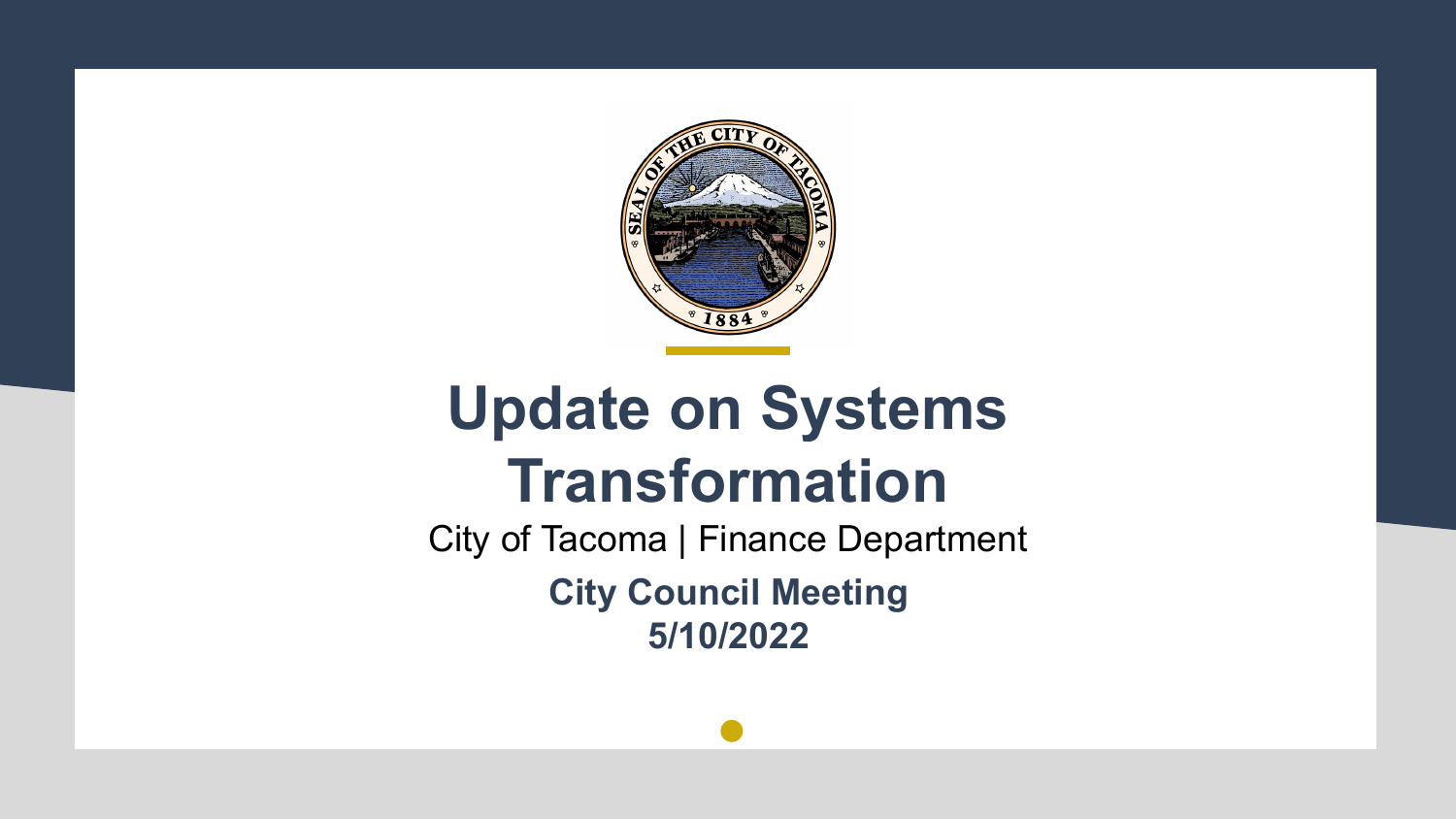

#### **Update on Systems Transformation**

City of Tacoma | Finance Department **City Council Meeting 5/10/2022**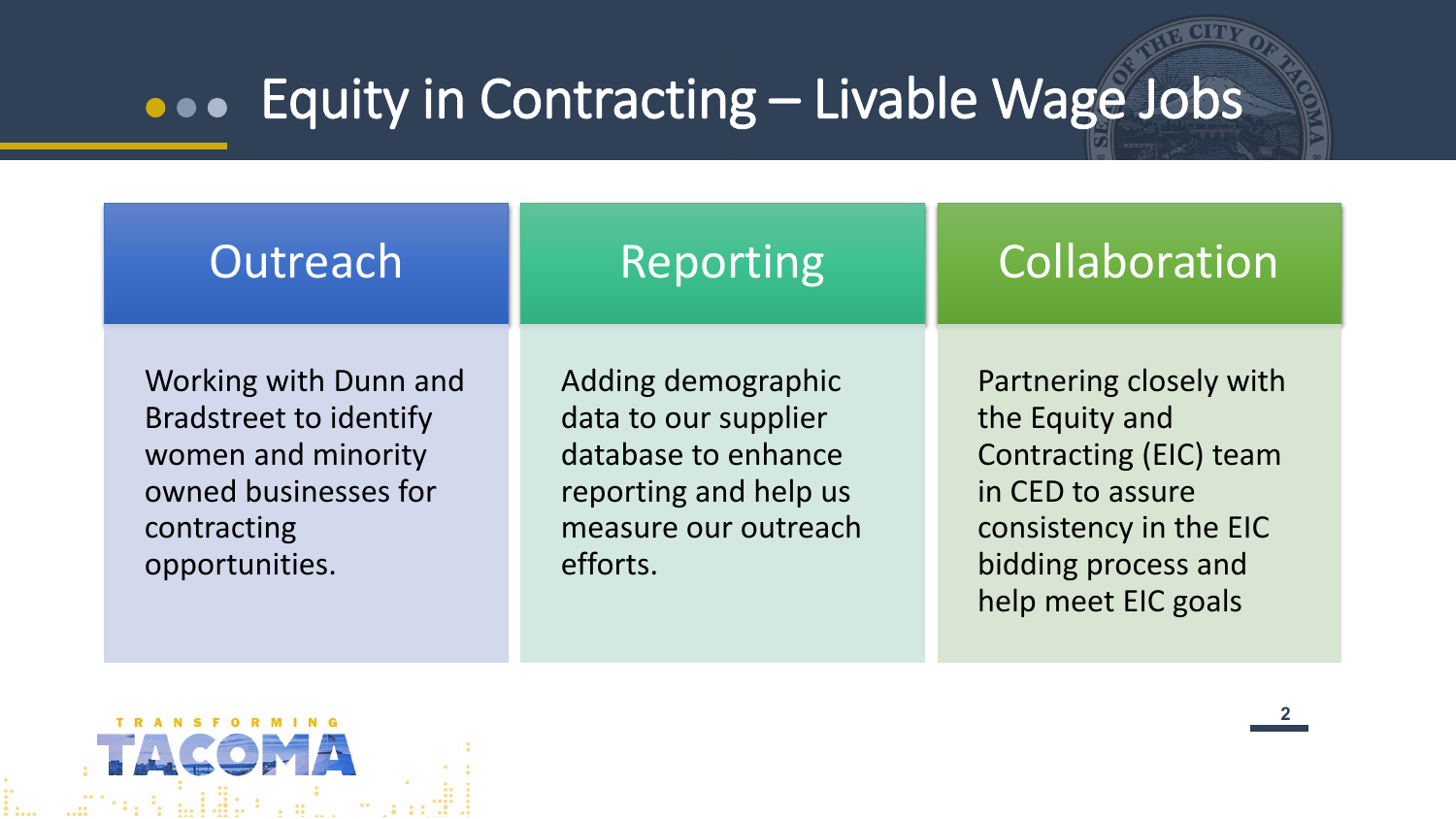#### Equity in Contracting – Livable Wage Jobs

| Outreach                                                                                                                              | Reporting                                                                                                                      | Collaboration                                                                                                                                                   |
|---------------------------------------------------------------------------------------------------------------------------------------|--------------------------------------------------------------------------------------------------------------------------------|-----------------------------------------------------------------------------------------------------------------------------------------------------------------|
| Working with Dunn and<br><b>Bradstreet to identify</b><br>women and minority<br>owned businesses for<br>contracting<br>opportunities. | Adding demographic<br>data to our supplier<br>database to enhance<br>reporting and help us<br>measure our outreach<br>efforts. | Partnering closely with<br>the Equity and<br>Contracting (EIC) team<br>in CED to assure<br>consistency in the EIC<br>bidding process and<br>help meet EIC goals |

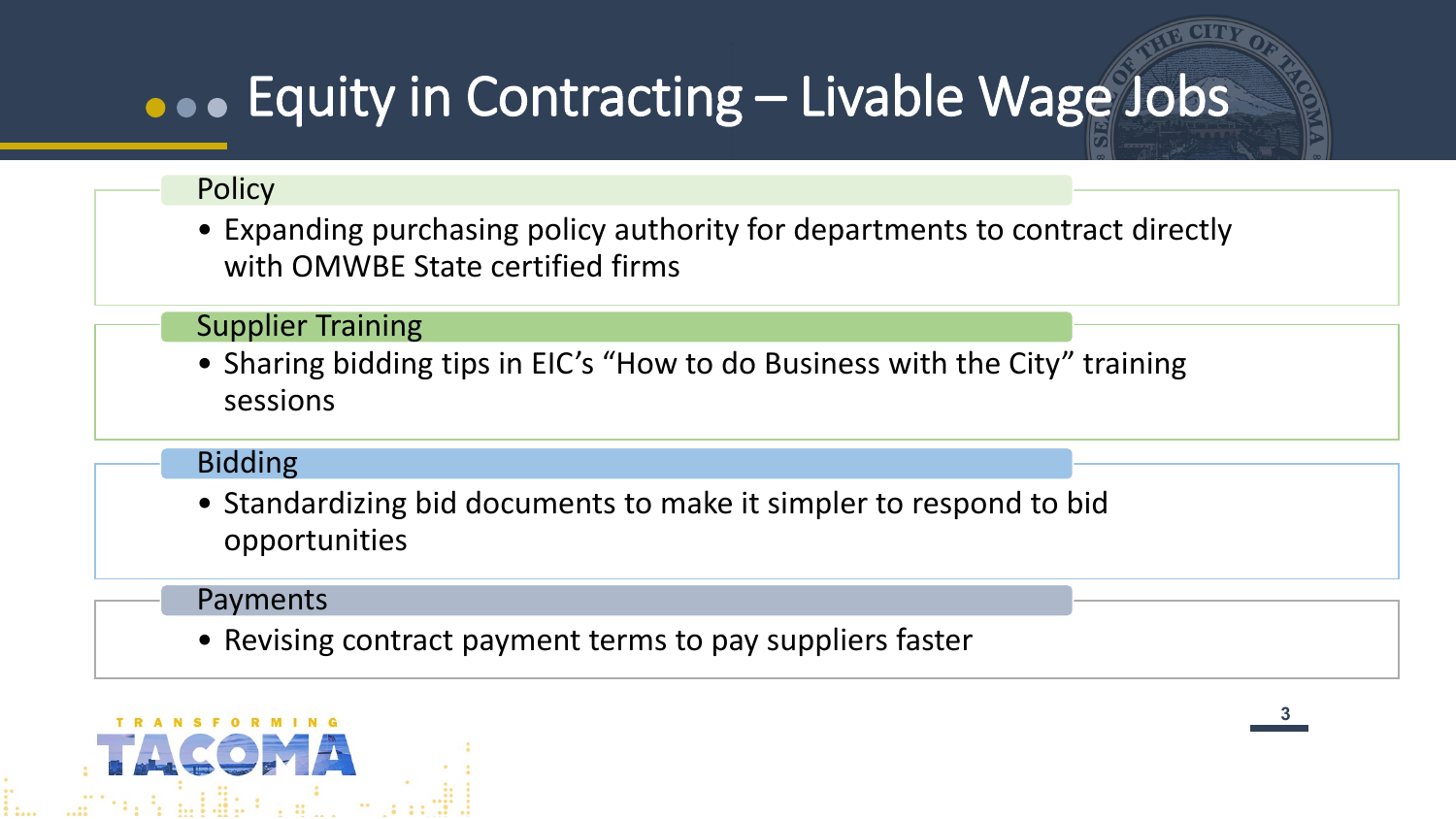### Equity in Contracting – Livable Wage Jobs

#### **Policy**

• Expanding purchasing policy authority for departments to contract directly with OMWBE State certified firms

#### Supplier Training

• Sharing bidding tips in EIC's "How to do Business with the City" training sessions

#### Bidding

• Standardizing bid documents to make it simpler to respond to bid opportunities

#### Payments

• Revising contract payment terms to pay suppliers faster

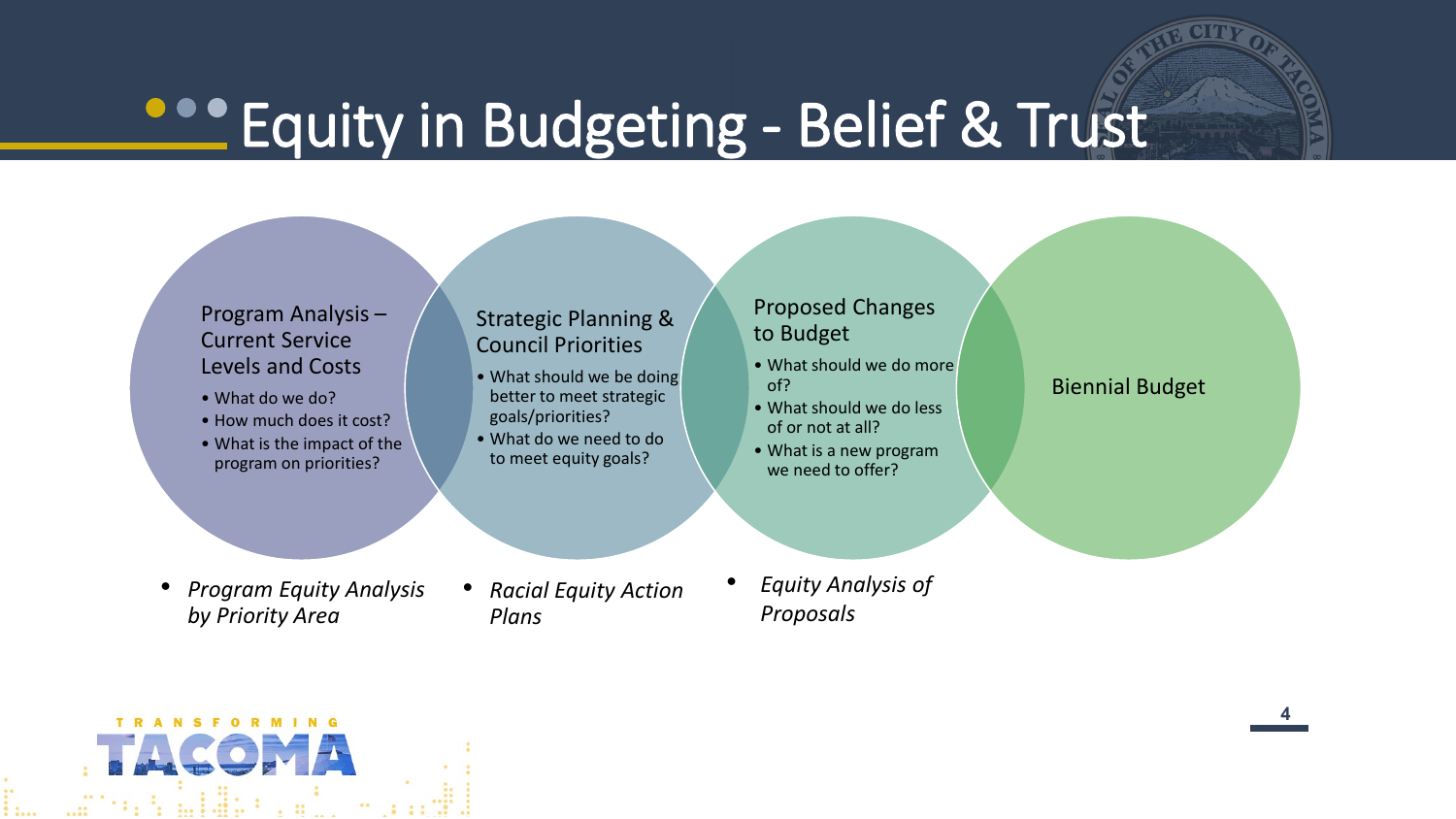### **Properting - Belief & Trust**

#### Program Analysis – Current Service Levels and Costs

- What do we do?
- How much does it cost?
- What is the impact of the program on priorities?

#### Strategic Planning & Council Priorities

- What should we be doing better to meet strategic goals/priorities?
- What do we need to do to meet equity goals?

#### Proposed Changes to Budget

- What should we do more of?
- What should we do less of or not at all?
- What is a new program we need to offer?

#### Biennial Budget

- *Program Equity Analysis by Priority Area*
- *Racial Equity Action Plans*
- *Equity Analysis of Proposals*

**TRANSFORMING** n Saidh

**44**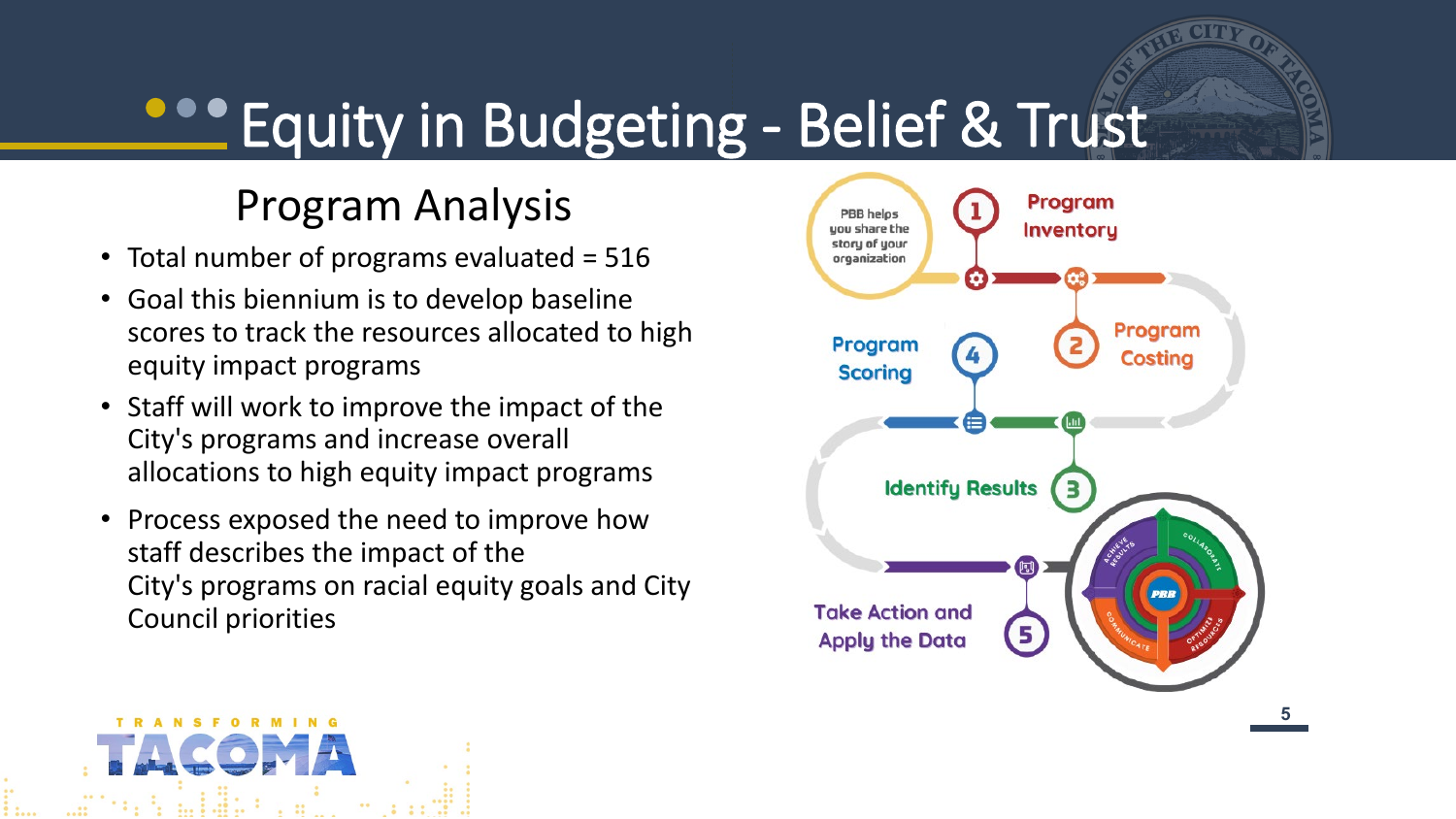### **PROPERITY IN Budgeting - Belief & Trust**

#### Program Analysis

- Total number of programs evaluated = 516
- Goal this biennium is to develop baseline scores to track the resources allocated to high equity impact programs
- Staff will work to improve the impact of the City's programs and increase overall allocations to high equity impact programs
- Process exposed the need to improve how staff describes the impact of the City's programs on racial equity goals and City Council priorities

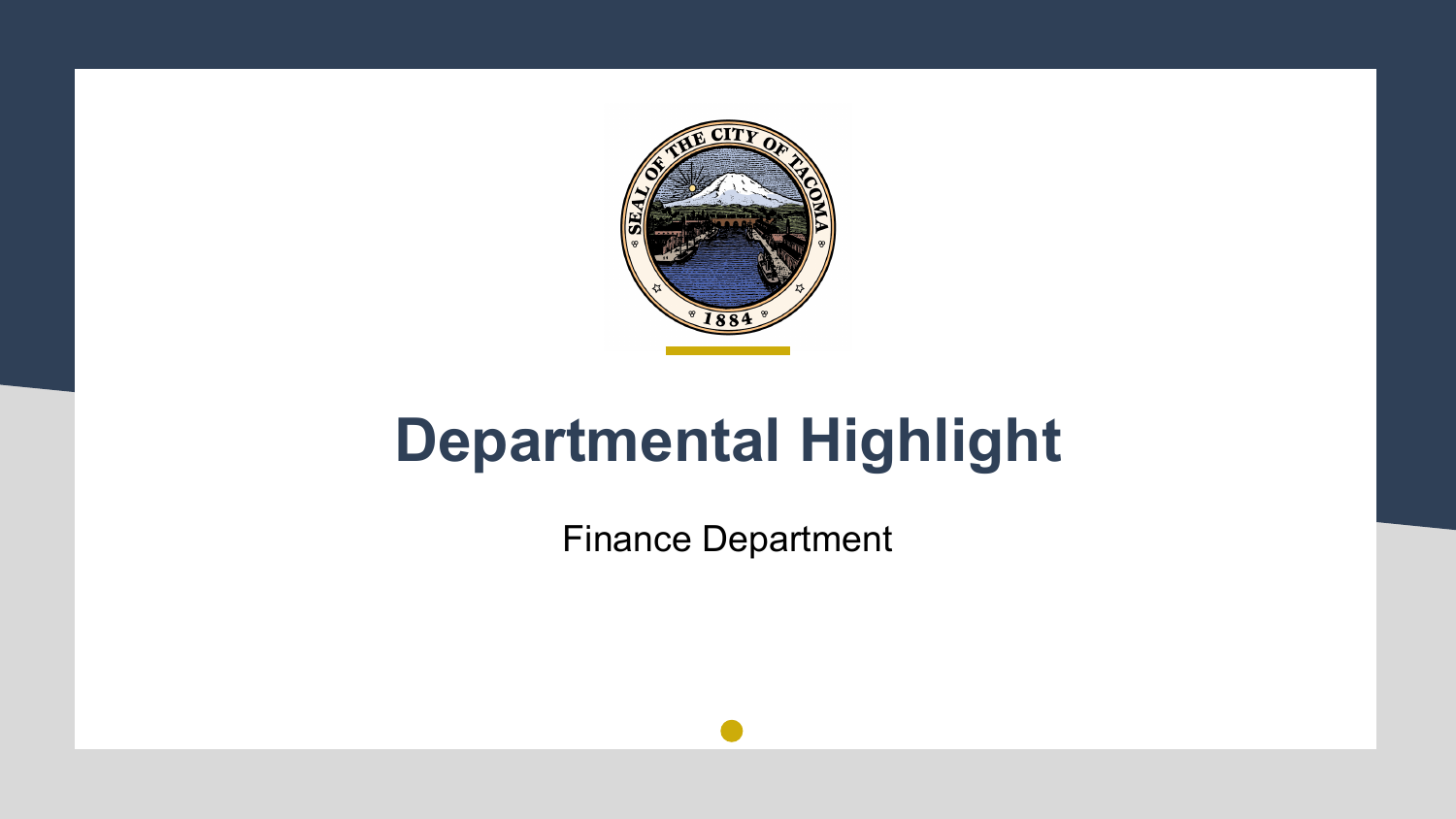

#### **Departmental Highlight**

Finance Department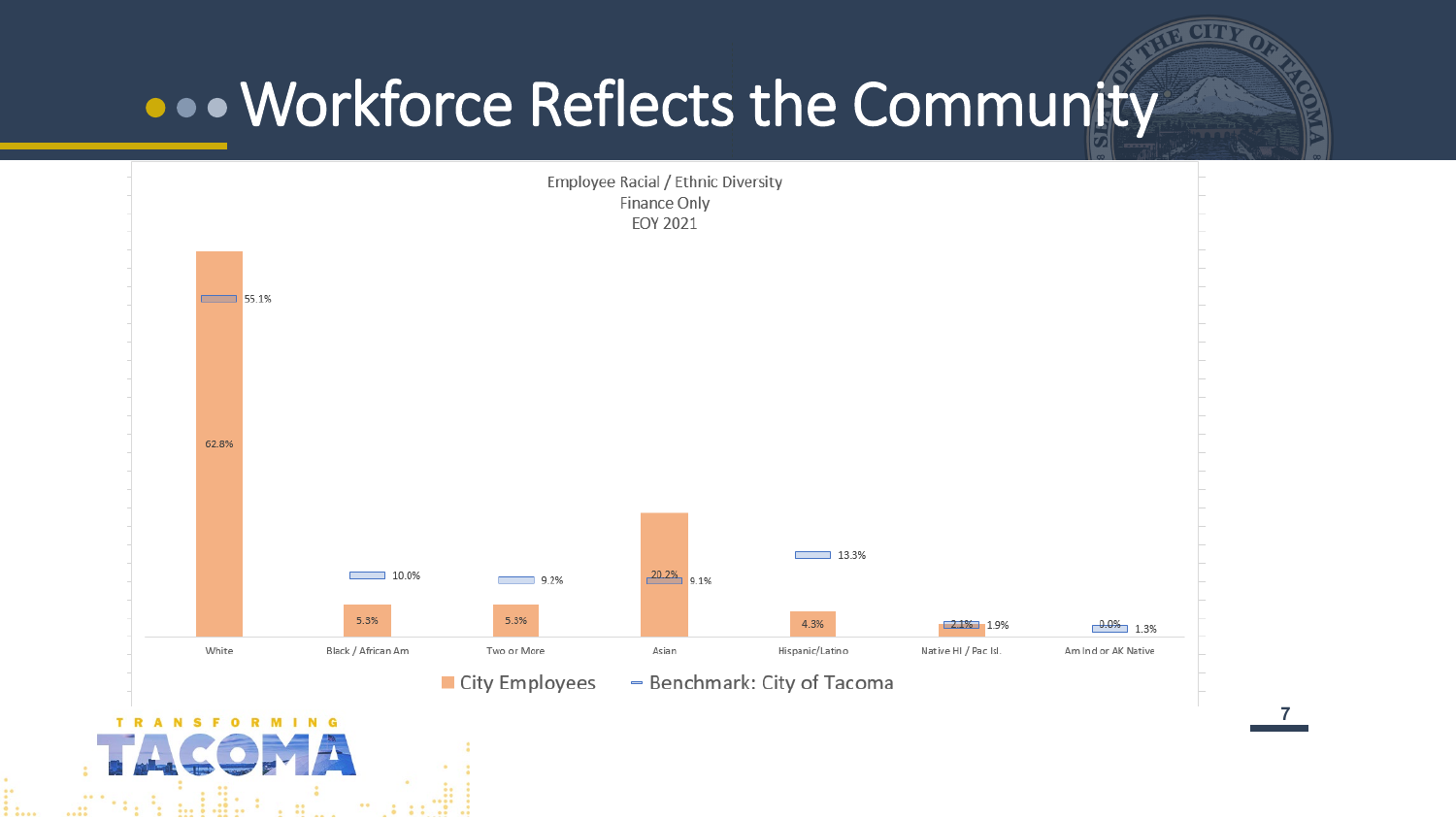#### **...** Workforce Reflects the Community



**77**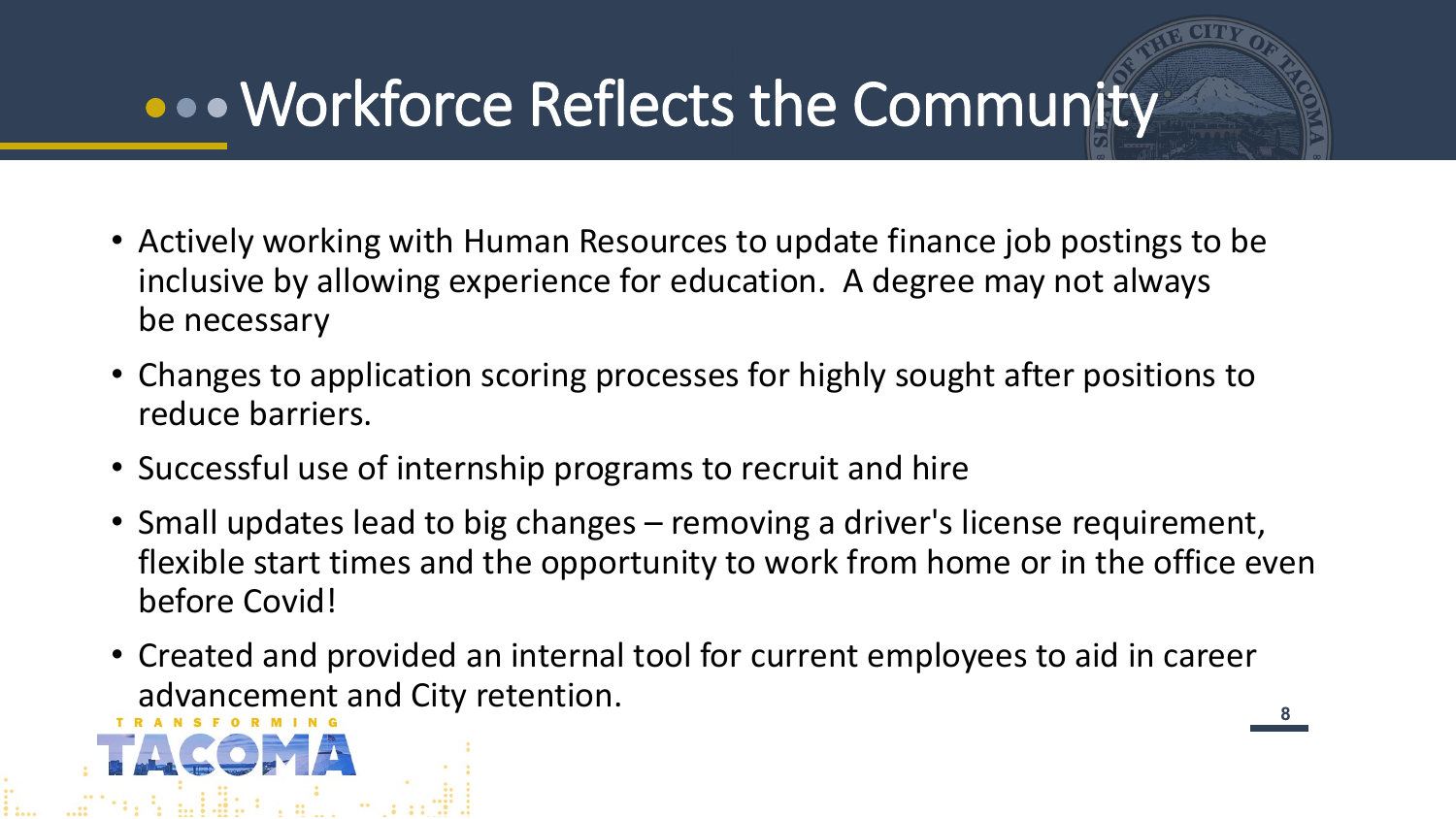### Workforce Reflects the Community

- Actively working with Human Resources to update finance job postings to be inclusive by allowing experience for education. A degree may not always be necessary
- Changes to application scoring processes for highly sought after positions to reduce barriers.
- Successful use of internship programs to recruit and hire
- Small updates lead to big changes removing a driver's license requirement, flexible start times and the opportunity to work from home or in the office even before Covid!
- Created and provided an internal tool for current employees to aid in career advancement and City retention.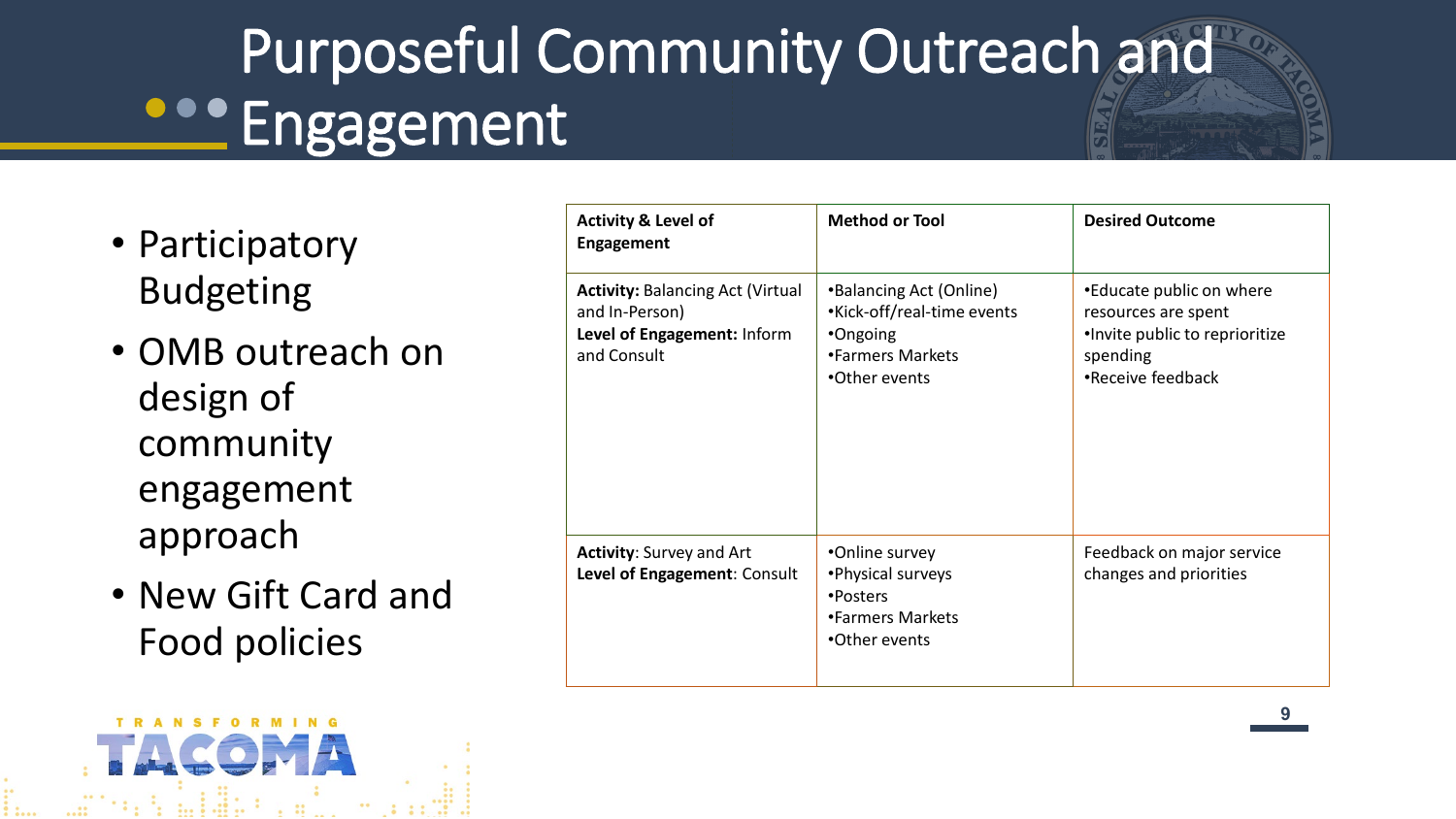# Purposeful Community Outreach and **PROPERTY** Engagement

- Participatory Budgeting
- OMB outreach on design of community engagement approach
- New Gift Card and Food policies

**TRANSFORMING** 

**TA midi-**

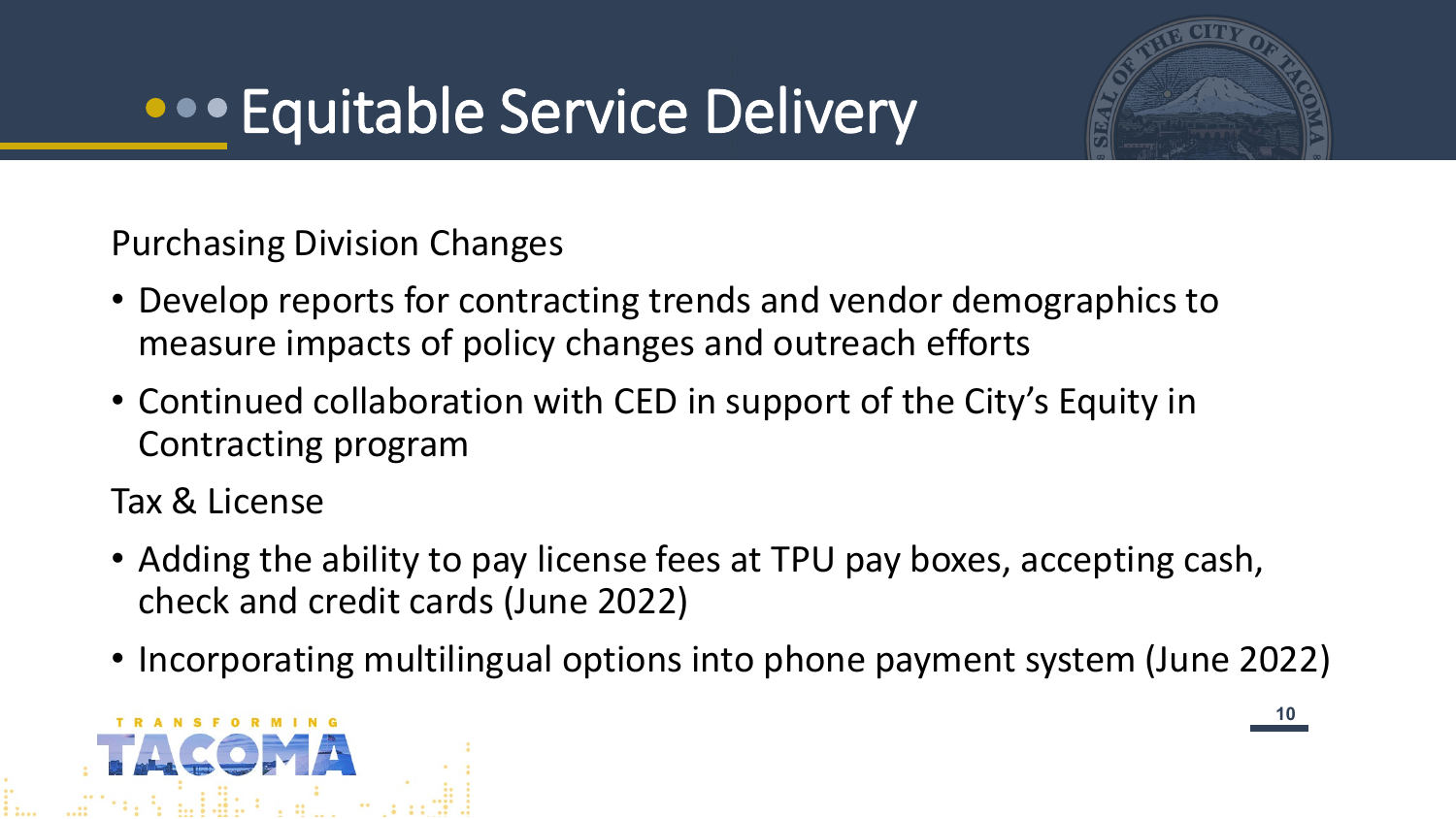### **•••** Equitable Service Delivery



Purchasing Division Changes

- Develop reports for contracting trends and vendor demographics to measure impacts of policy changes and outreach efforts
- Continued collaboration with CED in support of the City's Equity in Contracting program

Tax & License

- Adding the ability to pay license fees at TPU pay boxes, accepting cash, check and credit cards (June 2022)
- Incorporating multilingual options into phone payment system (June 2022)

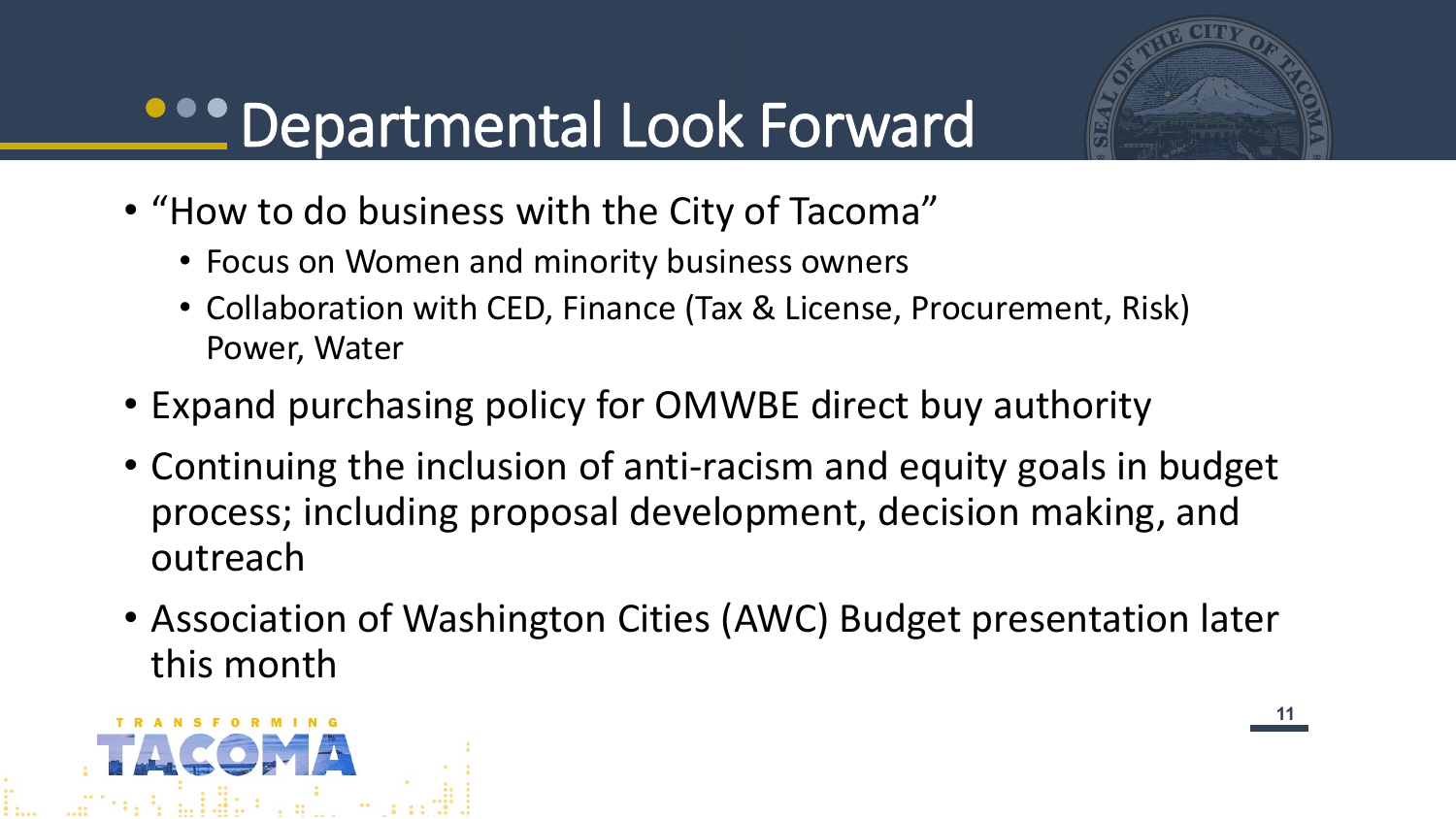

### **PROPERTMENTAL Look Forward**

- "How to do business with the City of Tacoma"
	- Focus on Women and minority business owners
	- Collaboration with CED, Finance (Tax & License, Procurement, Risk) Power, Water
- Expand purchasing policy for OMWBE direct buy authority
- Continuing the inclusion of anti-racism and equity goals in budget process; including proposal development, decision making, and outreach
- Association of Washington Cities (AWC) Budget presentation later this month

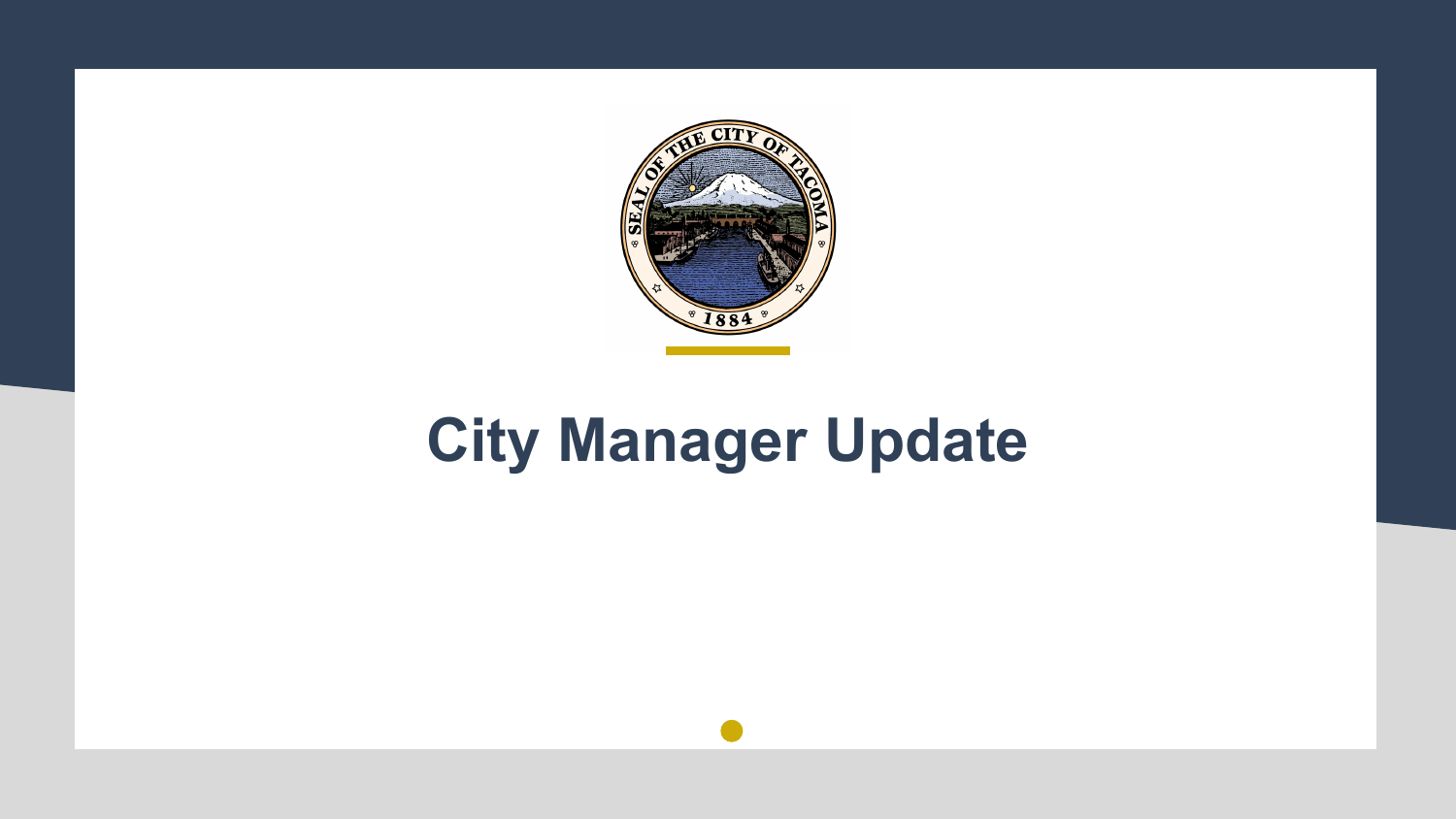

### **City Manager Update**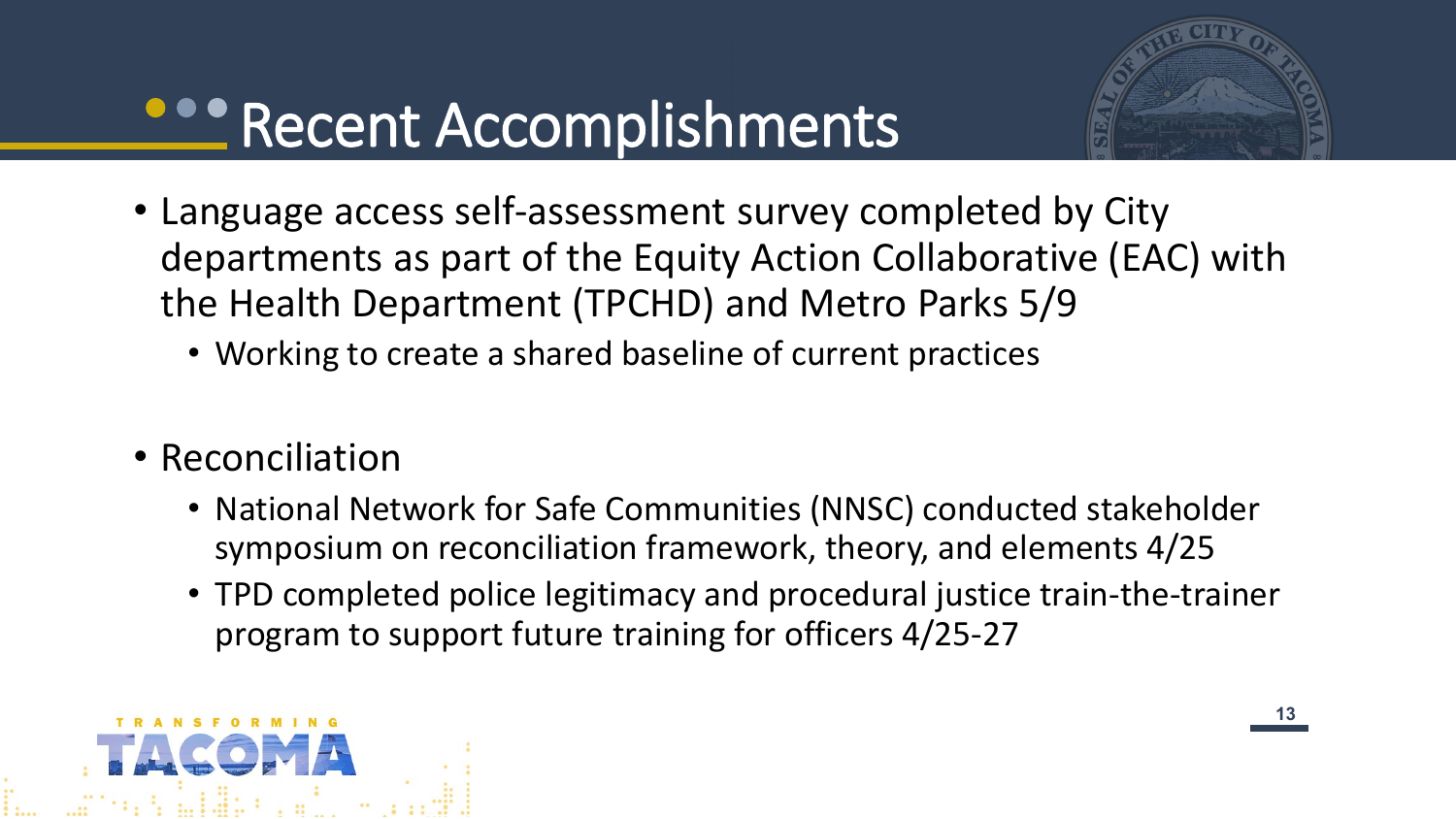### **Recent Accomplishments**

- Language access self-assessment survey completed by City departments as part of the Equity Action Collaborative (EAC) with the Health Department (TPCHD) and Metro Parks 5/9
	- Working to create a shared baseline of current practices
- Reconciliation
	- National Network for Safe Communities (NNSC) conducted stakeholder symposium on reconciliation framework, theory, and elements 4/25
	- TPD completed police legitimacy and procedural justice train-the-trainer program to support future training for officers 4/25-27

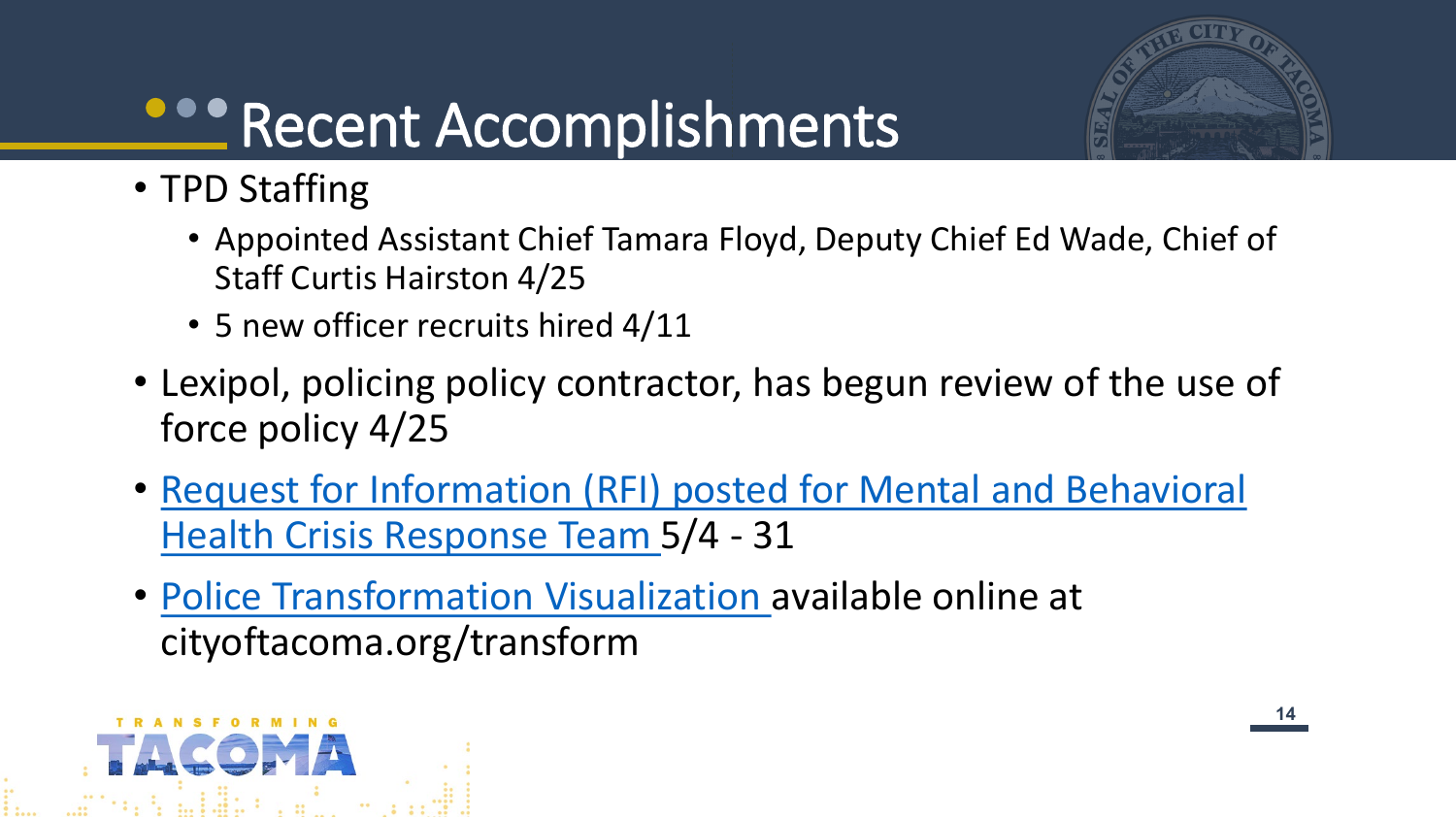

# **Recent Accomplishments**

- TPD Staffing
	- Appointed Assistant Chief Tamara Floyd, Deputy Chief Ed Wade, Chief of Staff Curtis Hairston 4/25
	- 5 new officer recruits hired 4/11
- Lexipol, policing policy contractor, has begun review of the use of force policy 4/25
- [Request for Information \(RFI\) posted for Mental and Behavioral](https://www.cityoftacoma.org/UserFiles/Servers/Server_6/File/cms/Purchasing/FormalBids/CM22-0171F.pdf) Health Crisis Response Team 5/4 - 31
- [Police Transformation Visualization a](https://tacoma-1.kumu.io/transforming-the-tacoma-police-department)vailable online at cityoftacoma.org/transform

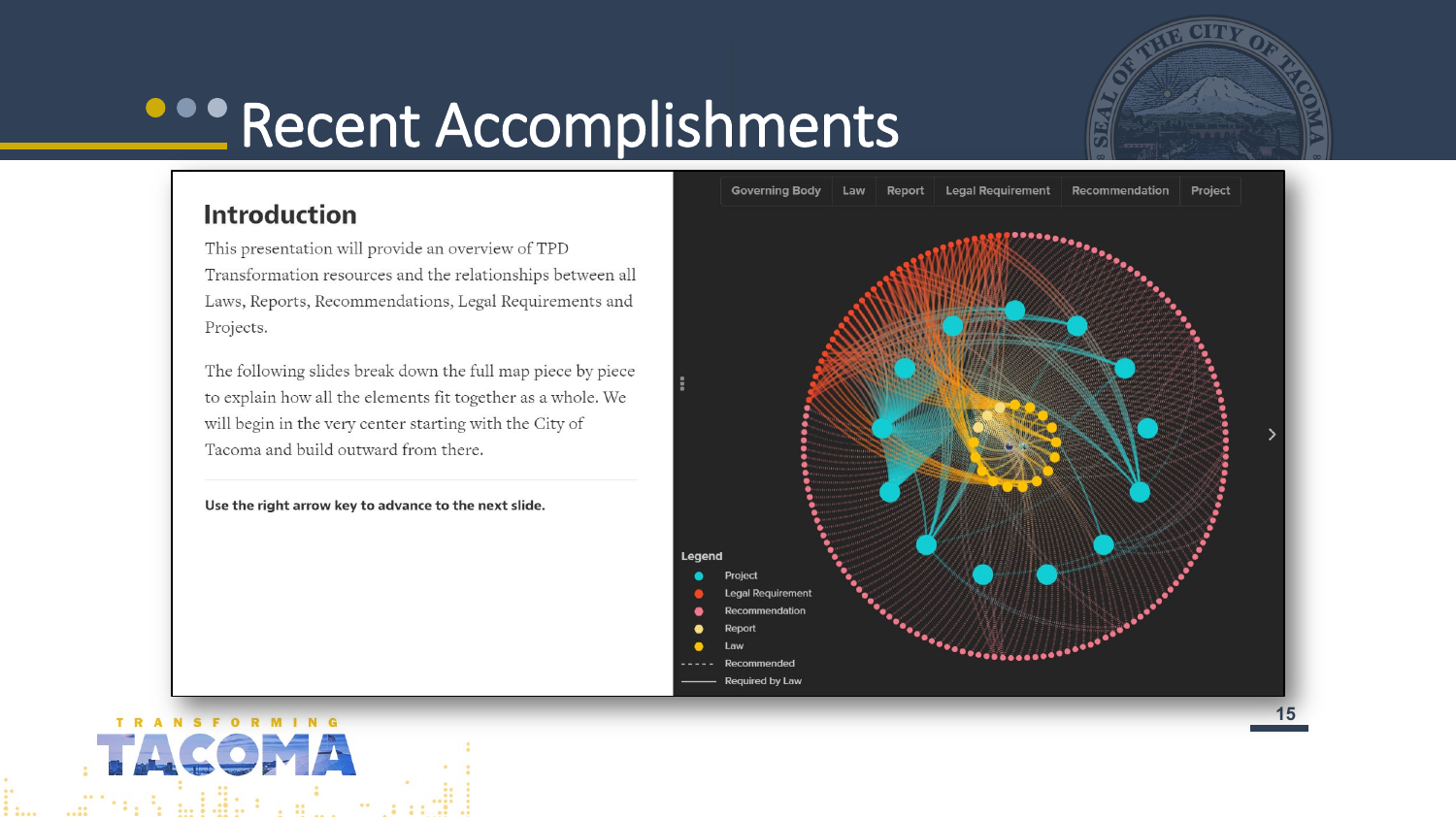

### **Recent Accomplishments**

#### **Introduction**

This presentation will provide an overview of TPD Transformation resources and the relationships between all Laws, Reports, Recommendations, Legal Requirements and Projects.

The following slides break down the full map piece by piece to explain how all the elements fit together as a whole. We will begin in the very center starting with the City of Tacoma and build outward from there.





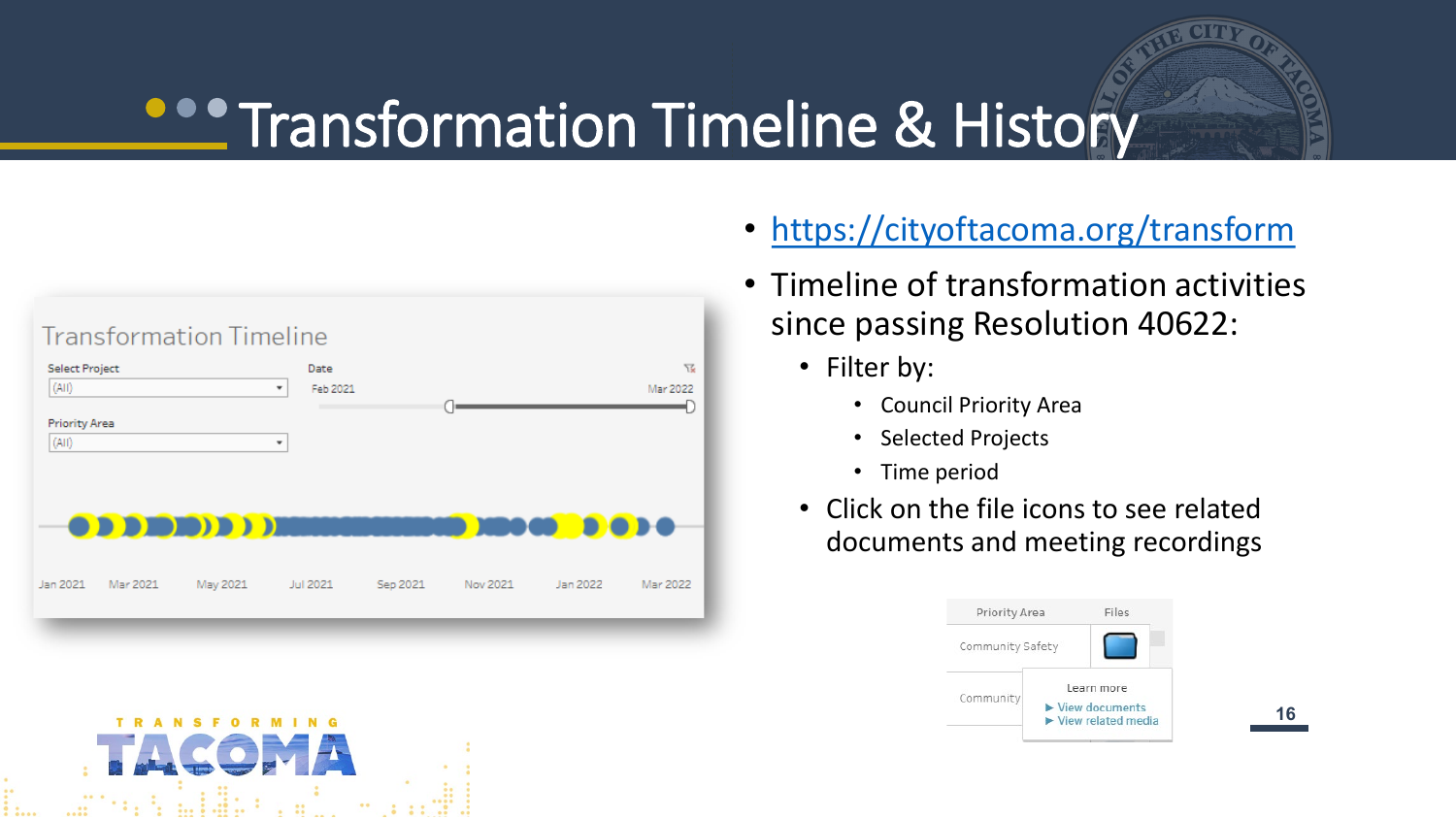### **CONTRANSFORMATION Timeline & History**



**TRANSFORMING** 

- <https://cityoftacoma.org/transform>
- Timeline of transformation activities since passing Resolution 40622:
	- Filter by:
		- Council Priority Area
		- Selected Projects
		- Time period
	- Click on the file icons to see related documents and meeting recordings